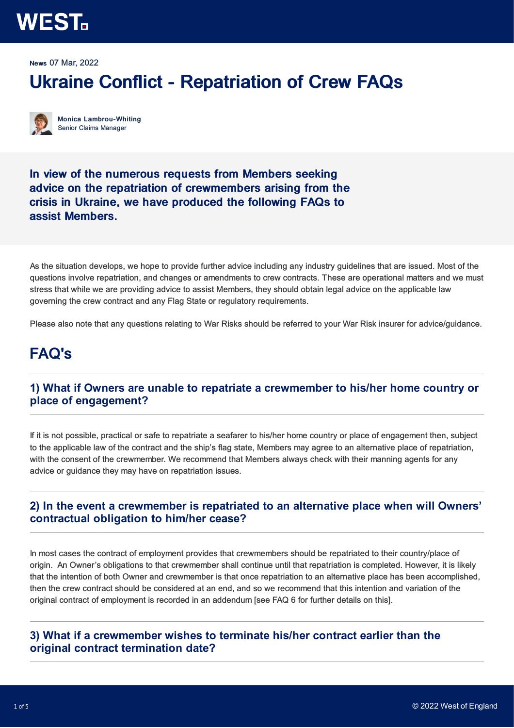### **WEST**

News 07 Mar, 2022

### Ukraine Conflict - Repatriation of Crew FAQs

Monica Lambrou-Whiting Senior Claims Manager

In view of the numerous requests from Members seeking advice on the repatriation of crewmembers arising from the crisis in Ukraine, we have produced the following FAQs to assist Members.

As the situation develops, we hope to provide further advice including any industry guidelines that are issued. Most of the questions involve repatriation, and changes or amendments to crew contracts. These are operational matters and we must stress that while we are providing advice to assist Members, they should obtain legal advice on the applicable law governing the crew contract and any Flag State or regulatory requirements.

Please also note that any questions relating to War Risks should be referred to your War Risk insurer for advice/guidance.

### FAQ's

### **1) What if Owners are unable to repatriate a crewmember to his/her home country or place of engagement?**

If it is not possible, practical or safe to repatriate a seafarer to his/her home country or place of engagement then, subject to the applicable law of the contract and the ship's flag state, Members may agree to an alternative place of repatriation, with the consent of the crewmember. We recommend that Members always check with their manning agents for any advice or guidance they may have on repatriation issues.

### **2) In the event a crewmember is repatriated to an alternative place when will Owners' contractual obligation to him/her cease?**

In most cases the contract of employment provides that crewmembers should be repatriated to their country/place of origin. An Owner's obligations to that crewmember shall continue until that repatriation is completed. However, it is likely that the intention of both Owner and crewmember is that once repatriation to an alternative place has been accomplished, then the crew contract should be considered at an end, and so we recommend that this intention and variation of the original contract of employment is recorded in an addendum [see FAQ 6 for further details on this].

### **3) What if a crewmember wishes to terminate his/her contract earlier than the original contract termination date?**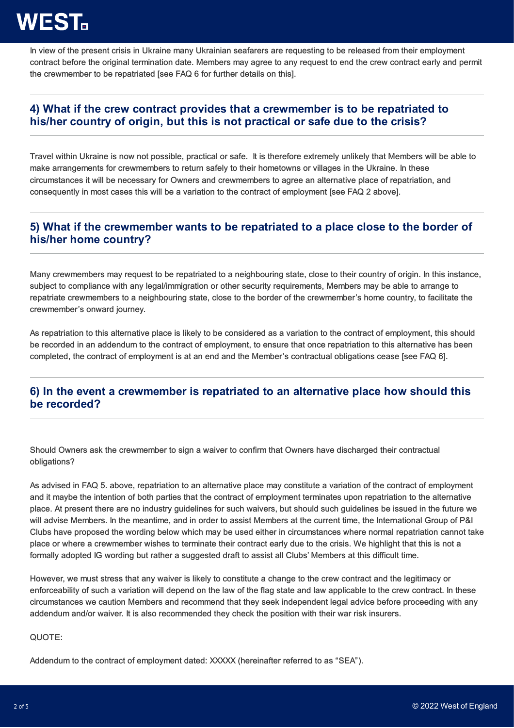# **WEST.**

In view of the present crisis in Ukraine many Ukrainian seafarers are requesting to be released from their employment contract before the original termination date. Members may agree to any request to end the crew contract early and permit the crewmember to be repatriated [see FAQ 6 for further details on this].

### **4) What if the crew contract provides that a crewmember is to be repatriated to his/her country of origin, but this is not practical or safe due to the crisis?**

Travel within Ukraine is now not possible, practical or safe. It is therefore extremely unlikely that Members will be able to make arrangements for crewmembers to return safely to their hometowns or villages in the Ukraine. In these circumstances it will be necessary for Owners and crewmembers to agree an alternative place of repatriation, and consequently in most cases this will be a variation to the contract of employment [see FAQ 2 above].

### **5) What if the crewmember wants to be repatriated to a place close to the border of his/her home country?**

Many crewmembers may request to be repatriated to a neighbouring state, close to their country of origin. In this instance, subject to compliance with any legal/immigration or other security requirements, Members may be able to arrange to repatriate crewmembers to a neighbouring state, close to the border of the crewmember's home country, to facilitate the crewmember's onward journey.

As repatriation to this alternative place is likely to be considered as a variation to the contract of employment, this should be recorded in an addendum to the contract of employment, to ensure that once repatriation to this alternative has been completed, the contract of employment is at an end and the Member's contractual obligations cease [see FAQ 6].

### **6) In the event a crewmember is repatriated to an alternative place how should this be recorded?**

Should Owners ask the crewmember to sign a waiver to confirm that Owners have discharged their contractual obligations?

As advised in FAQ 5. above, repatriation to an alternative place may constitute a variation of the contract of employment and it maybe the intention of both parties that the contract of employment terminates upon repatriation to the alternative place. At present there are no industry guidelines for such waivers, but should such guidelines be issued in the future we will advise Members. In the meantime, and in order to assist Members at the current time, the International Group of P&I Clubs have proposed the wording below which may be used either in circumstances where normal repatriation cannot take place or where a crewmember wishes to terminate their contract early due to the crisis. We highlight that this is not a formally adopted IG wording but rather a suggested draft to assist all Clubs' Members at this difficult time.

However, we must stress that any waiver is likely to constitute a change to the crew contract and the legitimacy or enforceability of such a variation will depend on the law of the flag state and law applicable to the crew contract. In these circumstances we caution Members and recommend that they seek independent legal advice before proceeding with any addendum and/or waiver. It is also recommended they check the position with their war risk insurers.

QUOTE:

Addendum to the contract of employment dated: XXXXX (hereinafter referred to as "SEA").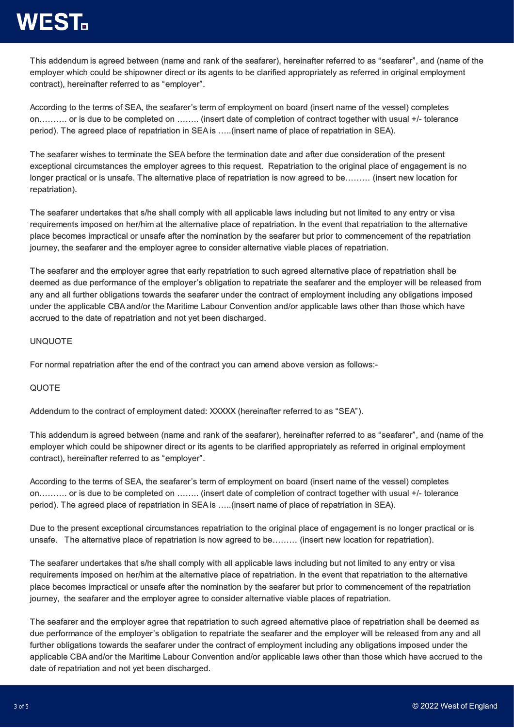## **WEST.**

This addendum is agreed between (name and rank of the seafarer), hereinafter referred to as "seafarer", and (name of the employer which could be shipowner direct or its agents to be clarified appropriately as referred in original employment contract), hereinafter referred to as "employer".

According to the terms of SEA, the seafarer's term of employment on board (insert name of the vessel) completes on………. or is due to be completed on …….. (insert date of completion of contract together with usual +/- tolerance period). The agreed place of repatriation in SEA is …..(insert name of place of repatriation in SEA).

The seafarer wishes to terminate the SEA before the termination date and after due consideration of the present exceptional circumstances the employer agrees to this request. Repatriation to the original place of engagement is no longer practical or is unsafe. The alternative place of repatriation is now agreed to be……… (insert new location for repatriation).

The seafarer undertakes that s/he shall comply with all applicable laws including but not limited to any entry or visa requirements imposed on her/him at the alternative place of repatriation. In the event that repatriation to the alternative place becomes impractical or unsafe after the nomination by the seafarer but prior to commencement of the repatriation journey, the seafarer and the employer agree to consider alternative viable places of repatriation.

The seafarer and the employer agree that early repatriation to such agreed alternative place of repatriation shall be deemed as due performance of the employer's obligation to repatriate the seafarer and the employer will be released from any and all further obligations towards the seafarer under the contract of employment including any obligations imposed under the applicable CBA and/or the Maritime Labour Convention and/or applicable laws other than those which have accrued to the date of repatriation and not yet been discharged.

#### UNQUOTE

For normal repatriation after the end of the contract you can amend above version as follows:-

#### QUOTE

Addendum to the contract of employment dated: XXXXX (hereinafter referred to as "SEA").

This addendum is agreed between (name and rank of the seafarer), hereinafter referred to as "seafarer", and (name of the employer which could be shipowner direct or its agents to be clarified appropriately as referred in original employment contract), hereinafter referred to as "employer".

According to the terms of SEA, the seafarer's term of employment on board (insert name of the vessel) completes on………. or is due to be completed on …….. (insert date of completion of contract together with usual +/- tolerance period). The agreed place of repatriation in SEA is …..(insert name of place of repatriation in SEA).

Due to the present exceptional circumstances repatriation to the original place of engagement is no longer practical or is unsafe. The alternative place of repatriation is now agreed to be……… (insert new location for repatriation).

The seafarer undertakes that s/he shall comply with all applicable laws including but not limited to any entry or visa requirements imposed on her/him at the alternative place of repatriation. In the event that repatriation to the alternative place becomes impractical or unsafe after the nomination by the seafarer but prior to commencement of the repatriation journey, the seafarer and the employer agree to consider alternative viable places of repatriation.

The seafarer and the employer agree that repatriation to such agreed alternative place of repatriation shall be deemed as due performance of the employer's obligation to repatriate the seafarer and the employer will be released from any and all further obligations towards the seafarer under the contract of employment including any obligations imposed under the applicable CBA and/or the Maritime Labour Convention and/or applicable laws other than those which have accrued to the date of repatriation and not yet been discharged.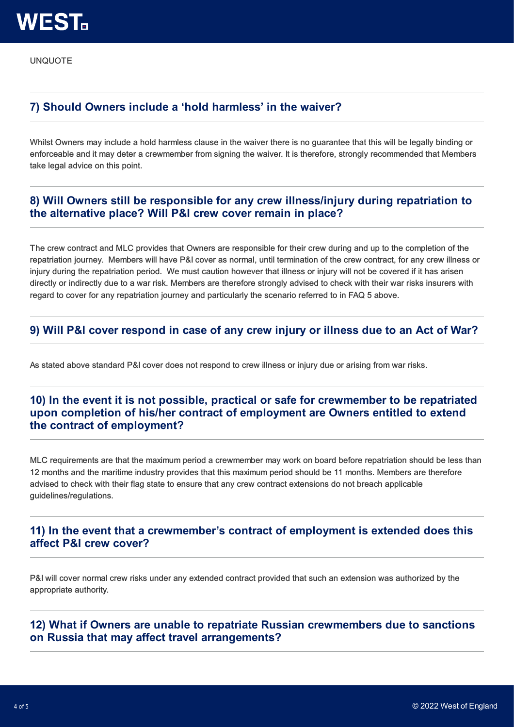UNQUOTE

### **7) Should Owners include a 'hold harmless' in the waiver?**

Whilst Owners may include a hold harmless clause in the waiver there is no guarantee that this will be legally binding or enforceable and it may deter a crewmember from signing the waiver. It is therefore, strongly recommended that Members take legal advice on this point.

### **8) Will Owners still be responsible for any crew illness/injury during repatriation to the alternative place? Will P&I crew cover remain in place?**

The crew contract and MLC provides that Owners are responsible for their crew during and up to the completion of the repatriation journey. Members will have P&I cover as normal, until termination of the crew contract, for any crew illness or injury during the repatriation period. We must caution however that illness or injury will not be covered if it has arisen directly or indirectly due to a war risk. Members are therefore strongly advised to check with their war risks insurers with regard to cover for any repatriation journey and particularly the scenario referred to in FAQ 5 above.

#### **9) Will P&I cover respond in case of any crew injury or illness due to an Act of War?**

As stated above standard P&I cover does not respond to crew illness or injury due or arising from war risks.

### **10) In the event it is not possible, practical or safe for crewmember to be repatriated upon completion of his/her contract of employment are Owners entitled to extend the contract of employment?**

MLC requirements are that the maximum period a crewmember may work on board before repatriation should be less than 12 months and the maritime industry provides that this maximum period should be 11 months. Members are therefore advised to check with their flag state to ensure that any crew contract extensions do not breach applicable guidelines/regulations.

#### **11) In the event that a crewmember's contract of employment is extended does this affect P&I crew cover?**

P&I will cover normal crew risks under any extended contract provided that such an extension was authorized by the appropriate authority.

**12) What if Owners are unable to repatriate Russian crewmembers due to sanctions on Russia that may affect travel arrangements?**